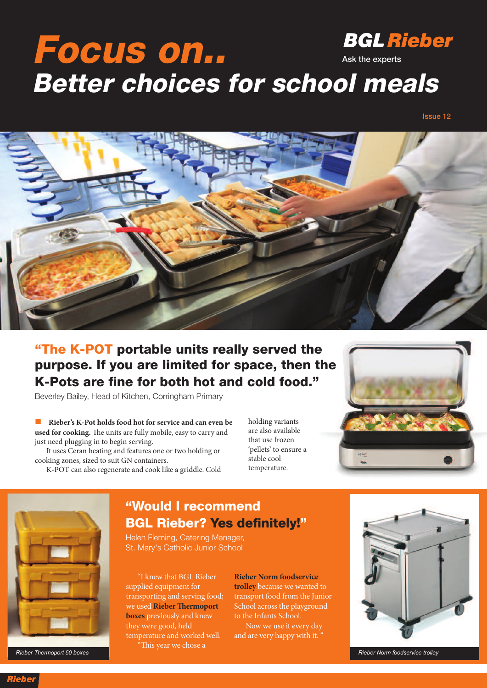## **BGL Rieber Focus on.. Ask the experts Better choices for school meals**

**Issue 12**



### **"The K-POT portable units really served the purpose. If you are limited for space, then the K-Pots are fine for both hot and cold food."**

Beverley Bailey, Head of Kitchen, Corringham Primary

n **Rieber's K-Pot holds food hot for service and can even be** used for cooking. The units are fully mobile, easy to carry and just need plugging in to begin serving.

It uses Ceran heating and features one or two holding or cooking zones, sized to suit GN containers.

K-POT can also regenerate and cook like a griddle. Cold

holding variants are also available that use frozen 'pellets' to ensure a stable cool temperature.





*Rieber Thermoport 50 boxes Rieber Norm foodservice trolley*

#### **"Would I recommend BGL Rieber? Yes definitely!"**

Helen Fleming, Catering Manager, St. Mary's Catholic Junior School

"I knew that BGL Rieber supplied equipment for transporting and serving food; we used **Rieber Thermoport boxes** previously and knew they were good, held temperature and worked well. "This year we chose a

**Rieber Norm foodservice trolley** because we wanted to transport food from the Junior School across the playground to the Infants School.

Now we use it every day and are very happy with it. "



**Rieber**